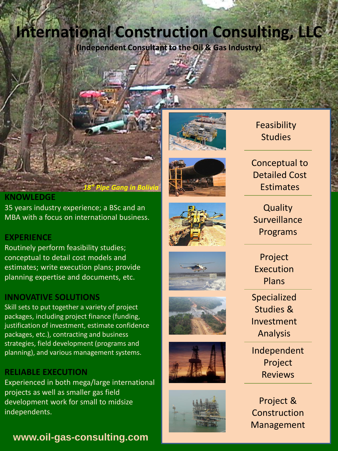# **International Construction Consulting, LLC**

*18" Pipe Gang in Bolivia*

**(Independent Consultant to the Oil & Gas Industry)**





# Feasibility **Studies**

Conceptual to Detailed Cost **Estimates** 

**Quality** Surveillance Programs

Project Execution Plans

Specialized Studies & Investment Analysis

Independent Project Reviews

Project & Construction Management

#### **KNOWLEDGE**

35 years industry experience; a BSc and an MBA with a focus on international business.

# **EXPERIENCE**

Routinely perform feasibility studies; conceptual to detail cost models and estimates; write execution plans; provide planning expertise and documents, etc.

# **INNOVATIVE SOLUTIONS**

Skill sets to put together a variety of project packages, including project finance (funding, justification of investment, estimate confidence packages, etc.), contracting and business strategies, field development (programs and planning), and various management systems.

# **RELIABLE EXECUTION**

Experienced in both mega/large international projects as well as smaller gas field development work for small to midsize independents.

# **www.oil-gas-consulting.com**







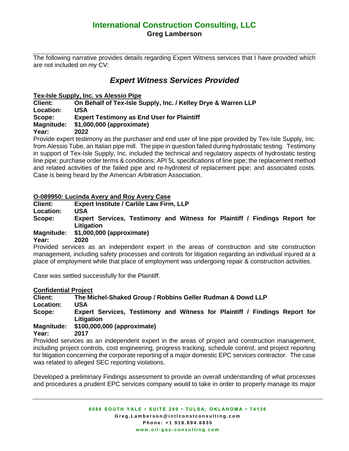# **International Construction Consulting, LLC Greg Lamberson**

The following narrative provides details regarding Expert Witness services that I have provided which are not included on my CV:

# *Expert Witness Services Provided*

**Tex-Isle Supply, Inc. vs Alessio Pipe**

**Client: On Behalf of Tex-Isle Supply, Inc. / Kelley Drye & Warren LLP Location: USA**

**Scope: Expert Testimony as End User for Plaintiff** 

**Magnitude: \$1,000,000 (approximate)**

**Year: 2022**

Provide expert testimony as the purchaser and end user of line pipe provided by Tex-Isle Supply, Inc. from Alessio Tube, an Italian pipe mill. The pipe in question failed during hydrostatic testing. Testimony in support of Tex-Isle Supply, Inc. included the technical and regulatory aspects of hydrostatic testing line pipe; purchase order terms & conditions; API 5L specifications of line pipe; the replacement method and related activities of the failed pipe and re-hydrotest of replacement pipe; and associated costs. Case is being heard by the American Arbitration Association.

#### **O-089950: Lucinda Avery and Roy Avery Case**

**Client: Expert Institute / Carlile Law Firm, LLP** 

**Location: USA**

**Scope: Expert Services, Testimony and Witness for Plaintiff / Findings Report for Litigation**

#### **Magnitude: \$1,000,000 (approximate)**

**Year: 2020**

Provided services as an independent expert in the areas of construction and site construction management, including safety processes and controls for litigation regarding an individual injured at a place of employment while that place of employment was undergoing repair & construction activities.

Case was settled successfully for the Plaintiff.

#### **Confidential Project**

**Client: The Michel-Shaked Group / Robbins Geller Rudman & Dowd LLP Location: USA Scope: Expert Services, Testimony and Witness for Plaintiff / Findings Report for Litigation**

#### **Magnitude: \$100,000,000 (approximate)**

**Year: 2017**

Provided services as an independent expert in the areas of project and construction management, including project controls, cost engineering, progress tracking, schedule control, and project reporting for litigation concerning the corporate reporting of a major domestic EPC services contractor. The case was related to alleged SEC reporting violations.

Developed a preliminary Findings assessment to provide an overall understanding of what processes and procedures a prudent EPC services company would to take in order to properly manage its major

> **8086 SOUTH YALE • SUITE 290 • TULSA; OKLAHOMA • 74136 G r e g . L a m b e r s o n @ i n t l c o n s t c o n s u l t i n g . c o m P h o n e : + 1 9 1 8 . 8 9 4 . 6 8 3 5 w w w . o i l - g a s - [c o n s u l t i n g . c o m](http://www.oil-gas-consulting.com/)**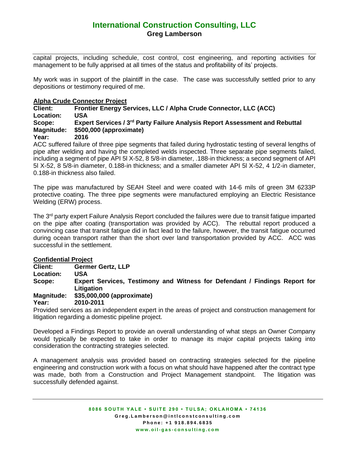# **International Construction Consulting, LLC Greg Lamberson**

capital projects, including schedule, cost control, cost engineering, and reporting activities for management to be fully apprised at all times of the status and profitability of its' projects.

My work was in support of the plaintiff in the case. The case was successfully settled prior to any depositions or testimony required of me.

#### **Alpha Crude Connector Project**

**Client: Frontier Energy Services, LLC / Alpha Crude Connector, LLC (ACC) Location: USA Scope: Expert Services / 3rd Party Failure Analysis Report Assessment and Rebuttal Magnitude: \$500,000 (approximate) Year: 2016**

ACC suffered failure of three pipe segments that failed during hydrostatic testing of several lengths of pipe after welding and having the completed welds inspected. Three separate pipe segments failed, including a segment of pipe API 5l X-52, 8 5/8-in diameter, .188-in thickness; a second segment of API 5l X-52, 8 5/8-in diameter, 0.188-in thickness; and a smaller diameter API 5l X-52, 4 1/2-in diameter, 0.188-in thickness also failed.

The pipe was manufactured by SEAH Steel and were coated with 14-6 mils of green 3M 6233P protective coating. The three pipe segments were manufactured employing an Electric Resistance Welding (ERW) process.

The 3<sup>rd</sup> party expert Failure Analysis Report concluded the failures were due to transit fatigue imparted on the pipe after coating (transportation was provided by ACC). The rebuttal report produced a convincing case that transit fatigue did in fact lead to the failure, however, the transit fatigue occurred during ocean transport rather than the short over land transportation provided by ACC. ACC was successful in the settlement.

#### **Confidential Project**

**Client: Germer Gertz, LLP**

**Location: USA**

**Scope: Expert Services, Testimony and Witness for Defendant / Findings Report for Litigation**

**Magnitude: \$35,000,000 (approximate)**

**Year: 2010-2011**

Provided services as an independent expert in the areas of project and construction management for litigation regarding a domestic pipeline project.

Developed a Findings Report to provide an overall understanding of what steps an Owner Company would typically be expected to take in order to manage its major capital projects taking into consideration the contracting strategies selected.

A management analysis was provided based on contracting strategies selected for the pipeline engineering and construction work with a focus on what should have happened after the contract type was made, both from a Construction and Project Management standpoint. The litigation was successfully defended against.